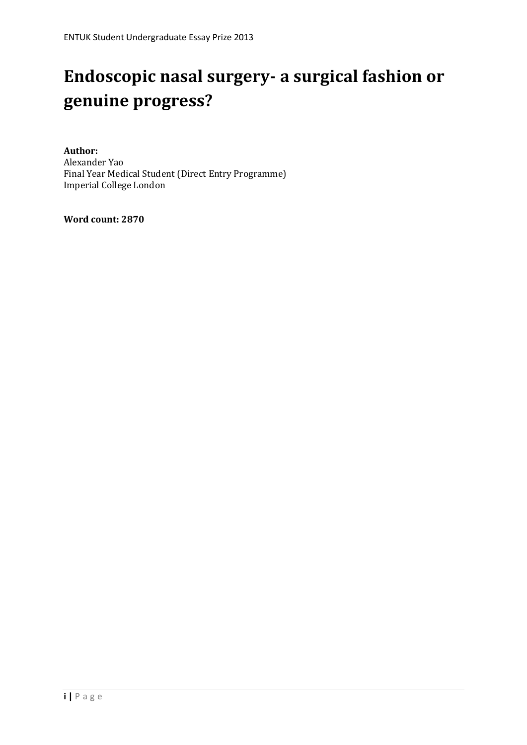# **Endoscopic nasal surgery- a surgical fashion or genuine progress?**

**Author:** Alexander Yao Final Year Medical Student (Direct Entry Programme) Imperial College London

**Word count: 2870**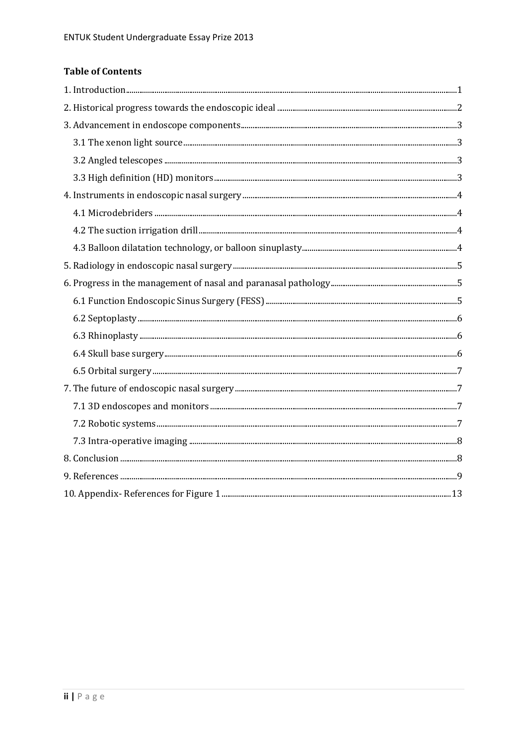# **Table of Contents**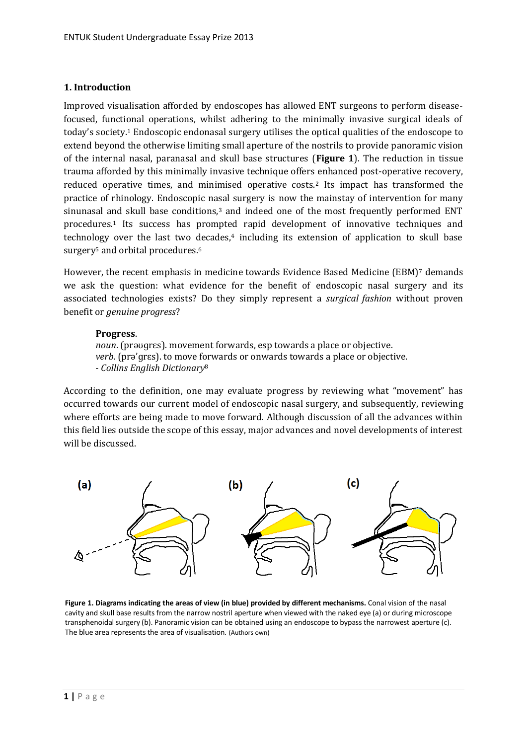#### <span id="page-2-0"></span>**1. Introduction**

Improved visualisation afforded by endoscopes has allowed ENT surgeons to perform diseasefocused, functional operations, whilst adhering to the minimally invasive surgical ideals of today's society.<sup>1</sup> Endoscopic endonasal surgery utilises the optical qualities of the endoscope to extend beyond the otherwise limiting small aperture of the nostrils to provide panoramic vision of the internal nasal, paranasal and skull base structures (**Figure 1**). The reduction in tissue trauma afforded by this minimally invasive technique offers enhanced post-operative recovery, reduced operative times, and minimised operative costs.<sup>2</sup> Its impact has transformed the practice of rhinology. Endoscopic nasal surgery is now the mainstay of intervention for many sinunasal and skull base conditions, $3$  and indeed one of the most frequently performed ENT procedures.<sup>1</sup> Its success has prompted rapid development of innovative techniques and technology over the last two decades,<sup>4</sup> including its extension of application to skull base surgery<sup>5</sup> and orbital procedures.<sup>6</sup>

However, the recent emphasis in medicine towards Evidence Based Medicine (EBM)<sup>7</sup> demands we ask the question: what evidence for the benefit of endoscopic nasal surgery and its associated technologies exists? Do they simply represent a *surgical fashion* without proven benefit or *genuine progress*?

#### **Progress**.

*noun*. (prəʊɡrɛs). movement forwards, esp towards a place or objective. *verb*. (prə'ɡrɛs). to move forwards or onwards towards a place or objective. - *Collins English Dictionary*<sup>8</sup>

According to the definition, one may evaluate progress by reviewing what "movement" has occurred towards our current model of endoscopic nasal surgery, and subsequently, reviewing where efforts are being made to move forward. Although discussion of all the advances within this field lies outside the scope of this essay, major advances and novel developments of interest will be discussed.



**Figure 1. Diagrams indicating the areas of view (in blue) provided by different mechanisms.** Conal vision of the nasal cavity and skull base results from the narrow nostril aperture when viewed with the naked eye (a) or during microscope transphenoidal surgery (b). Panoramic vision can be obtained using an endoscope to bypass the narrowest aperture (c). The blue area represents the area of visualisation. (Authors own)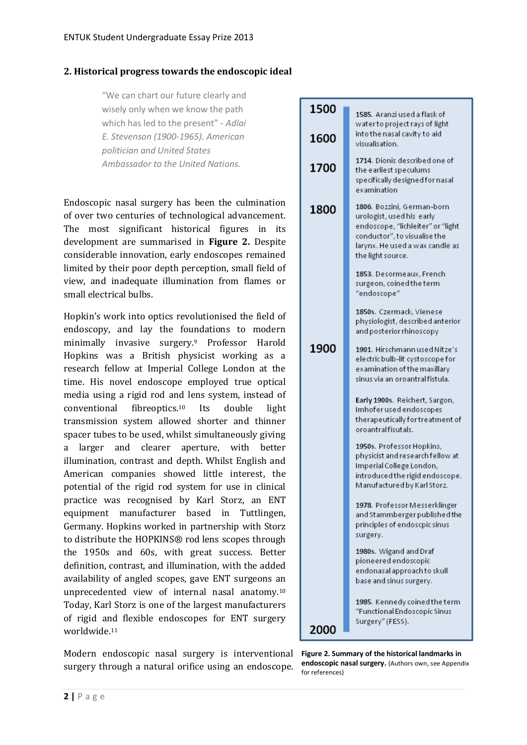#### <span id="page-3-0"></span>**2. Historical progress towards the endoscopic ideal**

"We can chart our future clearly and wisely only when we know the path which has led to the present" - *Adlai E. Stevenson (1900-1965). American politician and United States Ambassador to the United Nations.*

Endoscopic nasal surgery has been the culmination of over two centuries of technological advancement. The most significant historical figures in its development are summarised in **Figure 2.** Despite considerable innovation, early endoscopes remained limited by their poor depth perception, small field of view, and inadequate illumination from flames or small electrical bulbs.

Hopkin's work into optics revolutionised the field of endoscopy, and lay the foundations to modern minimally invasive surgery.<sup>9</sup> Professor Harold Hopkins was a British physicist working as a research fellow at Imperial College London at the time. His novel endoscope employed true optical media using a rigid rod and lens system, instead of conventional fibreoptics.<sup>10</sup> Its double light transmission system allowed shorter and thinner spacer tubes to be used, whilst simultaneously giving a larger and clearer aperture, with better illumination, contrast and depth. Whilst English and American companies showed little interest, the potential of the rigid rod system for use in clinical practice was recognised by Karl Storz, an ENT equipment manufacturer based in Tuttlingen, Germany. Hopkins worked in partnership with Storz to distribute the HOPKINS® rod lens scopes through the 1950s and 60s, with great success. Better definition, contrast, and illumination, with the added availability of angled scopes, gave ENT surgeons an unprecedented view of internal nasal anatomy. 10 Today, Karl Storz is one of the largest manufacturers of rigid and flexible endoscopes for ENT surgery worldwide. 11

Modern endoscopic nasal surgery is interventional surgery through a natural orifice using an endoscope.

| 1500 | 1585. Aranzi used a flask of<br>water to project rays of light                                                                                                                       |
|------|--------------------------------------------------------------------------------------------------------------------------------------------------------------------------------------|
| 1600 | into the nasal cavity to aid<br>visualisation.                                                                                                                                       |
| 1700 | 1714. Dionis described one of<br>the earliest speculums<br>specifically designed for nasal<br>examination                                                                            |
| 1800 | 1806. Bozzini, German-born<br>urologist, used his early<br>endoscope, "lichleiter" or "light<br>conductor", to visualise the<br>larynx. He used a wax candle as<br>the light source. |
|      | 1853. Desormeaux, French<br>surgeon, coined the term<br>"endoscope"                                                                                                                  |
|      | 1850s. Czermack, Vienese<br>physiologist, described anterior<br>and posterior rhinoscopy                                                                                             |
| 1900 | 1901. Hirschmann used Nitze's<br>electric bulb-lit cystoscope for<br>examination of the maxillary<br>sinus via an oroantralfistula.                                                  |
|      | Early 1900s. Reichert, Sargon,<br>Imhofer used endoscopes<br>therapeutically for treatment of<br>oroantralfisutals.                                                                  |
|      | 1950s. Professor Hopkins,<br>physicist and research fellow at<br>Imperial College London,<br>introduced the rigid endoscope.<br>Manufactured by Karl Storz.                          |
|      | 1978. Professor Messerklinger<br>and Stammberger published the<br>principles of endoscpic sinus<br>surgery.                                                                          |
|      | 1980s. Wigand and Draf<br>pioneered endoscopic<br>endonasal approach to skull<br>base and sinus surgery.                                                                             |
| 2000 | 1985. Kennedy coined the term<br>"Functional Endoscopic Sinus<br>Surgery" (FESS).                                                                                                    |

**Figure 2. Summary of the historical landmarks in endoscopic nasal surgery.** (Authors own, see Appendix for references)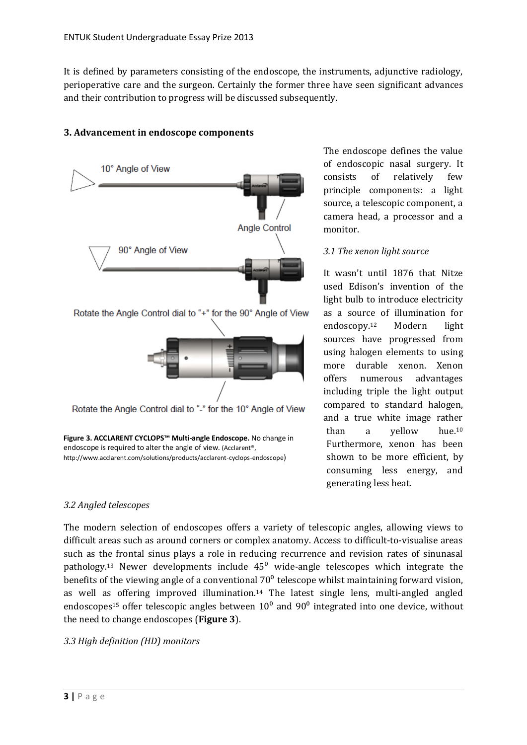It is defined by parameters consisting of the endoscope, the instruments, adjunctive radiology, perioperative care and the surgeon. Certainly the former three have seen significant advances and their contribution to progress will be discussed subsequently.

# <span id="page-4-0"></span>**3. Advancement in endoscope components**



The endoscope defines the value of endoscopic nasal surgery. It consists of relatively few principle components: a light source, a telescopic component, a camera head, a processor and a monitor.

#### <span id="page-4-1"></span>*3.1 The xenon light source*

It wasn't until 1876 that Nitze used Edison's invention of the light bulb to introduce electricity as a source of illumination for endoscopy.<sup>12</sup> Modern light sources have progressed from using halogen elements to using more durable xenon. Xenon offers numerous advantages including triple the light output compared to standard halogen, and a true white image rather than a yellow hue.<sup>10</sup> Furthermore, xenon has been shown to be more efficient, by consuming less energy, and generating less heat.

#### <span id="page-4-2"></span>*3.2 Angled telescopes*

The modern selection of endoscopes offers a variety of telescopic angles, allowing views to difficult areas such as around corners or complex anatomy. Access to difficult-to-visualise areas such as the frontal sinus plays a role in reducing recurrence and revision rates of sinunasal pathology.<sup>13</sup> Newer developments include  $45^{\circ}$  wide-angle telescopes which integrate the benefits of the viewing angle of a conventional  $70^{\circ}$  telescope whilst maintaining forward vision, as well as offering improved illumination.<sup>14</sup> The latest single lens, multi-angled angled endoscopes<sup>15</sup> offer telescopic angles between  $10<sup>0</sup>$  and  $90<sup>0</sup>$  integrated into one device, without the need to change endoscopes (**Figure 3**).

#### <span id="page-4-3"></span>*3.3 High definition (HD) monitors*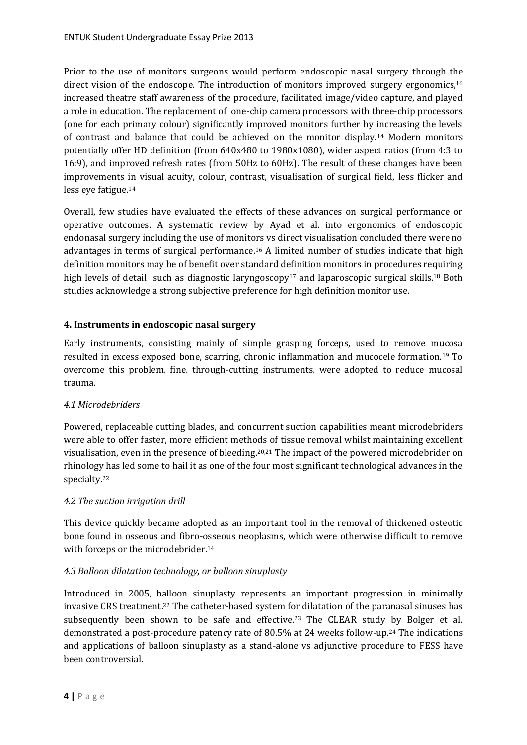Prior to the use of monitors surgeons would perform endoscopic nasal surgery through the direct vision of the endoscope. The introduction of monitors improved surgery ergonomics,<sup>16</sup> increased theatre staff awareness of the procedure, facilitated image/video capture, and played a role in education. The replacement of one-chip camera processors with three-chip processors (one for each primary colour) significantly improved monitors further by increasing the levels of contrast and balance that could be achieved on the monitor display.<sup>14</sup> Modern monitors potentially offer HD definition (from 640x480 to 1980x1080), wider aspect ratios (from 4:3 to 16:9), and improved refresh rates (from 50Hz to 60Hz). The result of these changes have been improvements in visual acuity, colour, contrast, visualisation of surgical field, less flicker and less eye fatigue.<sup>14</sup>

Overall, few studies have evaluated the effects of these advances on surgical performance or operative outcomes. A systematic review by Ayad et al. into ergonomics of endoscopic endonasal surgery including the use of monitors vs direct visualisation concluded there were no advantages in terms of surgical performance.<sup>16</sup> A limited number of studies indicate that high definition monitors may be of benefit over standard definition monitors in procedures requiring high levels of detail such as diagnostic laryngoscopy<sup>17</sup> and laparoscopic surgical skills.<sup>18</sup> Both studies acknowledge a strong subjective preference for high definition monitor use.

# <span id="page-5-0"></span>**4. Instruments in endoscopic nasal surgery**

Early instruments, consisting mainly of simple grasping forceps, used to remove mucosa resulted in excess exposed bone, scarring, chronic inflammation and mucocele formation.<sup>19</sup> To overcome this problem, fine, through-cutting instruments, were adopted to reduce mucosal trauma.

#### <span id="page-5-1"></span>*4.1 Microdebriders*

Powered, replaceable cutting blades, and concurrent suction capabilities meant microdebriders were able to offer faster, more efficient methods of tissue removal whilst maintaining excellent visualisation, even in the presence of bleeding.20,21 The impact of the powered microdebrider on rhinology has led some to hail it as one of the four most significant technological advances in the specialty.<sup>22</sup>

#### <span id="page-5-2"></span>*4.2 The suction irrigation drill*

This device quickly became adopted as an important tool in the removal of thickened osteotic bone found in osseous and fibro-osseous neoplasms, which were otherwise difficult to remove with forceps or the microdebrider.<sup>14</sup>

# <span id="page-5-3"></span>*4.3 Balloon dilatation technology, or balloon sinuplasty*

Introduced in 2005, balloon sinuplasty represents an important progression in minimally invasive CRS treatment. <sup>22</sup> The catheter-based system for dilatation of the paranasal sinuses has subsequently been shown to be safe and effective.<sup>23</sup> The CLEAR study by Bolger et al. demonstrated a post-procedure patency rate of 80.5% at 24 weeks follow-up.<sup>24</sup> The indications and applications of balloon sinuplasty as a stand-alone vs adjunctive procedure to FESS have been controversial.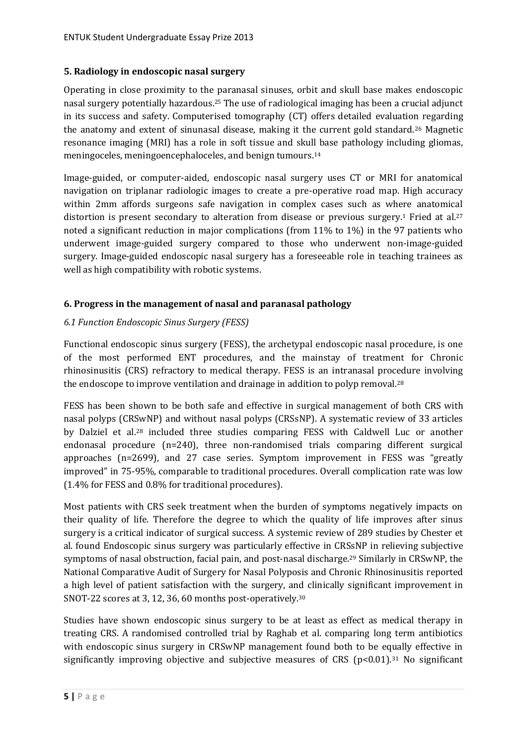#### <span id="page-6-0"></span>**5. Radiology in endoscopic nasal surgery**

Operating in close proximity to the paranasal sinuses, orbit and skull base makes endoscopic nasal surgery potentially hazardous. <sup>25</sup> The use of radiological imaging has been a crucial adjunct in its success and safety. Computerised tomography (CT) offers detailed evaluation regarding the anatomy and extent of sinunasal disease, making it the current gold standard.<sup>26</sup> Magnetic resonance imaging (MRI) has a role in soft tissue and skull base pathology including gliomas, meningoceles, meningoencephaloceles, and benign tumours.<sup>14</sup>

Image-guided, or computer-aided, endoscopic nasal surgery uses CT or MRI for anatomical navigation on triplanar radiologic images to create a pre-operative road map. High accuracy within 2mm affords surgeons safe navigation in complex cases such as where anatomical distortion is present secondary to alteration from disease or previous surgery.<sup>1</sup> Fried at al.<sup>27</sup> noted a significant reduction in major complications (from 11% to 1%) in the 97 patients who underwent image-guided surgery compared to those who underwent non-image-guided surgery. Image-guided endoscopic nasal surgery has a foreseeable role in teaching trainees as well as high compatibility with robotic systems.

# <span id="page-6-1"></span>**6. Progress in the management of nasal and paranasal pathology**

# <span id="page-6-2"></span>*6.1 Function Endoscopic Sinus Surgery (FESS)*

Functional endoscopic sinus surgery (FESS), the archetypal endoscopic nasal procedure, is one of the most performed ENT procedures, and the mainstay of treatment for Chronic rhinosinusitis (CRS) refractory to medical therapy. FESS is an intranasal procedure involving the endoscope to improve ventilation and drainage in addition to polyp removal.<sup>28</sup>

FESS has been shown to be both safe and effective in surgical management of both CRS with nasal polyps (CRSwNP) and without nasal polyps (CRSsNP). A systematic review of 33 articles by Dalziel et al.<sup>28</sup> included three studies comparing FESS with Caldwell Luc or another endonasal procedure (n=240), three non-randomised trials comparing different surgical approaches (n=2699), and 27 case series. Symptom improvement in FESS was "greatly improved" in 75-95%, comparable to traditional procedures. Overall complication rate was low (1.4% for FESS and 0.8% for traditional procedures).

Most patients with CRS seek treatment when the burden of symptoms negatively impacts on their quality of life. Therefore the degree to which the quality of life improves after sinus surgery is a critical indicator of surgical success. A systemic review of 289 studies by Chester et al. found Endoscopic sinus surgery was particularly effective in CRSsNP in relieving subjective symptoms of nasal obstruction, facial pain, and post-nasal discharge. <sup>29</sup> Similarly in CRSwNP, the National Comparative Audit of Surgery for Nasal Polyposis and Chronic Rhinosinusitis reported a high level of patient satisfaction with the surgery, and clinically significant improvement in SNOT-22 scores at 3, 12, 36, 60 months post-operatively.<sup>30</sup>

Studies have shown endoscopic sinus surgery to be at least as effect as medical therapy in treating CRS. A randomised controlled trial by Raghab et al. comparing long term antibiotics with endoscopic sinus surgery in CRSwNP management found both to be equally effective in significantly improving objective and subjective measures of CRS  $(p<0.01)$ .<sup>31</sup> No significant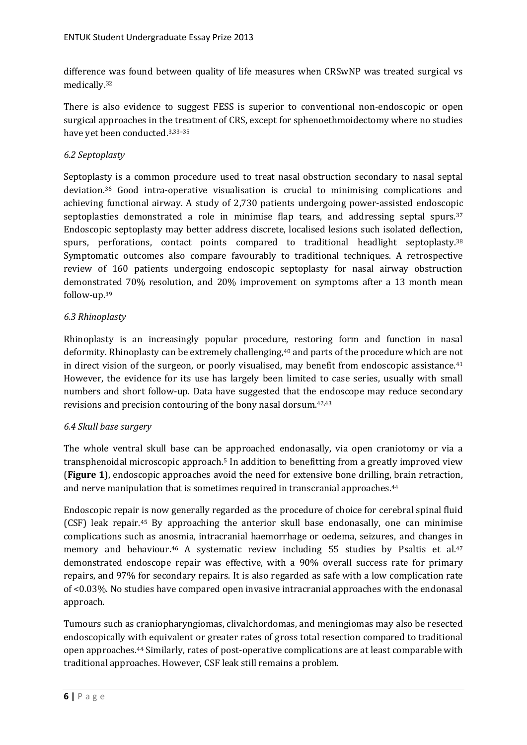difference was found between quality of life measures when CRSwNP was treated surgical vs medically.<sup>32</sup>

There is also evidence to suggest FESS is superior to conventional non-endoscopic or open surgical approaches in the treatment of CRS, except for sphenoethmoidectomy where no studies have yet been conducted.3,33–<sup>35</sup>

#### <span id="page-7-0"></span>*6.2 Septoplasty*

Septoplasty is a common procedure used to treat nasal obstruction secondary to nasal septal deviation.<sup>36</sup> Good intra-operative visualisation is crucial to minimising complications and achieving functional airway. A study of 2,730 patients undergoing power-assisted endoscopic septoplasties demonstrated a role in minimise flap tears, and addressing septal spurs.<sup>37</sup> Endoscopic septoplasty may better address discrete, localised lesions such isolated deflection, spurs, perforations, contact points compared to traditional headlight septoplasty.<sup>38</sup> Symptomatic outcomes also compare favourably to traditional techniques. A retrospective review of 160 patients undergoing endoscopic septoplasty for nasal airway obstruction demonstrated 70% resolution, and 20% improvement on symptoms after a 13 month mean follow-up.<sup>39</sup>

# <span id="page-7-1"></span>*6.3 Rhinoplasty*

Rhinoplasty is an increasingly popular procedure, restoring form and function in nasal deformity. Rhinoplasty can be extremely challenging,<sup>40</sup> and parts of the procedure which are not in direct vision of the surgeon, or poorly visualised, may benefit from endoscopic assistance.<sup>41</sup> However, the evidence for its use has largely been limited to case series, usually with small numbers and short follow-up. Data have suggested that the endoscope may reduce secondary revisions and precision contouring of the bony nasal dorsum.42,43

#### <span id="page-7-2"></span>*6.4 Skull base surgery*

The whole ventral skull base can be approached endonasally, via open craniotomy or via a transphenoidal microscopic approach. <sup>5</sup> In addition to benefitting from a greatly improved view (**Figure 1**), endoscopic approaches avoid the need for extensive bone drilling, brain retraction, and nerve manipulation that is sometimes required in transcranial approaches. 44

Endoscopic repair is now generally regarded as the procedure of choice for cerebral spinal fluid (CSF) leak repair.<sup>45</sup> By approaching the anterior skull base endonasally, one can minimise complications such as anosmia, intracranial haemorrhage or oedema, seizures, and changes in memory and behaviour.<sup>46</sup> A systematic review including 55 studies by Psaltis et al.<sup>47</sup> demonstrated endoscope repair was effective, with a 90% overall success rate for primary repairs, and 97% for secondary repairs. It is also regarded as safe with a low complication rate of <0.03%. No studies have compared open invasive intracranial approaches with the endonasal approach.

Tumours such as craniopharyngiomas, clivalchordomas, and meningiomas may also be resected endoscopically with equivalent or greater rates of gross total resection compared to traditional open approaches.<sup>44</sup> Similarly, rates of post-operative complications are at least comparable with traditional approaches. However, CSF leak still remains a problem.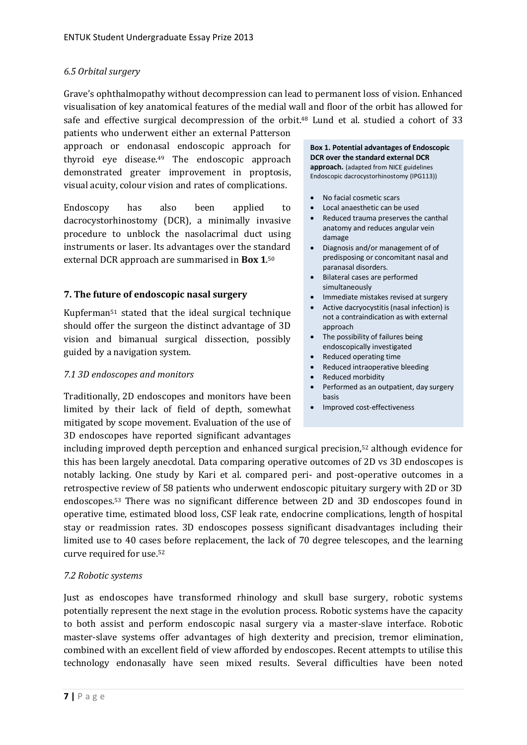#### <span id="page-8-0"></span>*6.5 Orbital surgery*

Grave's ophthalmopathy without decompression can lead to permanent loss of vision. Enhanced visualisation of key anatomical features of the medial wall and floor of the orbit has allowed for safe and effective surgical decompression of the orbit.<sup>48</sup> Lund et al. studied a cohort of 33

patients who underwent either an external Patterson approach or endonasal endoscopic approach for thyroid eye disease.<sup>49</sup> The endoscopic approach demonstrated greater improvement in proptosis, visual acuity, colour vision and rates of complications.

Endoscopy has also been applied to dacrocystorhinostomy (DCR), a minimally invasive procedure to unblock the nasolacrimal duct using instruments or laser. Its advantages over the standard external DCR approach are summarised in **Box 1**. 50

#### <span id="page-8-1"></span>**7. The future of endoscopic nasal surgery**

Kupferman<sup>51</sup> stated that the ideal surgical technique should offer the surgeon the distinct advantage of 3D vision and bimanual surgical dissection, possibly guided by a navigation system.

#### <span id="page-8-2"></span>*7.1 3D endoscopes and monitors*

Traditionally, 2D endoscopes and monitors have been limited by their lack of field of depth, somewhat mitigated by scope movement. Evaluation of the use of 3D endoscopes have reported significant advantages

#### **Box 1. Potential advantages of Endoscopic DCR over the standard external DCR approach.** (adapted from NICE guidelines Endoscopic dacrocystorhinostomy (IPG113))

- No facial cosmetic scars
- Local anaesthetic can be used
- Reduced trauma preserves the canthal anatomy and reduces angular vein damage
- Diagnosis and/or management of of predisposing or concomitant nasal and paranasal disorders.
- Bilateral cases are performed simultaneously
- Immediate mistakes revised at surgery
- Active dacryocystitis (nasal infection) is not a contraindication as with external approach
- The possibility of failures being endoscopically investigated
- Reduced operating time
- Reduced intraoperative bleeding
- Reduced morbidity
- Performed as an outpatient, day surgery basis
- Improved cost-effectiveness

including improved depth perception and enhanced surgical precision,<sup>52</sup> although evidence for this has been largely anecdotal. Data comparing operative outcomes of 2D vs 3D endoscopes is notably lacking. One study by Kari et al. compared peri- and post-operative outcomes in a retrospective review of 58 patients who underwent endoscopic pituitary surgery with 2D or 3D endoscopes.<sup>53</sup> There was no significant difference between 2D and 3D endoscopes found in operative time, estimated blood loss, CSF leak rate, endocrine complications, length of hospital stay or readmission rates. 3D endoscopes possess significant disadvantages including their limited use to 40 cases before replacement, the lack of 70 degree telescopes, and the learning curve required for use.<sup>52</sup>

#### <span id="page-8-3"></span>*7.2 Robotic systems*

Just as endoscopes have transformed rhinology and skull base surgery, robotic systems potentially represent the next stage in the evolution process. Robotic systems have the capacity to both assist and perform endoscopic nasal surgery via a master-slave interface. Robotic master-slave systems offer advantages of high dexterity and precision, tremor elimination, combined with an excellent field of view afforded by endoscopes. Recent attempts to utilise this technology endonasally have seen mixed results. Several difficulties have been noted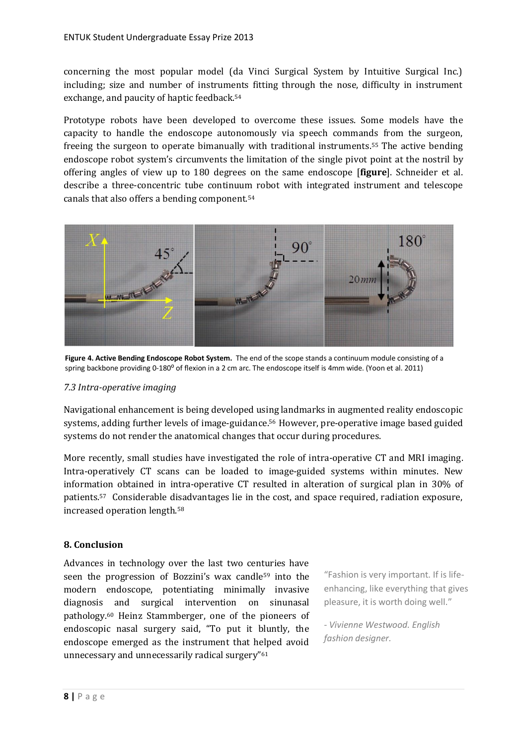concerning the most popular model (da Vinci Surgical System by Intuitive Surgical Inc.) including; size and number of instruments fitting through the nose, difficulty in instrument exchange, and paucity of haptic feedback.<sup>54</sup>

Prototype robots have been developed to overcome these issues. Some models have the capacity to handle the endoscope autonomously via speech commands from the surgeon, freeing the surgeon to operate bimanually with traditional instruments. <sup>55</sup> The active bending endoscope robot system's circumvents the limitation of the single pivot point at the nostril by offering angles of view up to 180 degrees on the same endoscope [**figure**]. Schneider et al. describe a three-concentric tube continuum robot with integrated instrument and telescope canals that also offers a bending component.<sup>54</sup>



**Figure 4. Active Bending Endoscope Robot System.** The end of the scope stands a continuum module consisting of a spring backbone providing 0-180° of flexion in a 2 cm arc. The endoscope itself is 4mm wide. (Yoon et al. 2011)

#### <span id="page-9-0"></span>*7.3 Intra-operative imaging*

Navigational enhancement is being developed using landmarks in augmented reality endoscopic systems, adding further levels of image-guidance.<sup>56</sup> However, pre-operative image based guided systems do not render the anatomical changes that occur during procedures.

More recently, small studies have investigated the role of intra-operative CT and MRI imaging. Intra-operatively CT scans can be loaded to image-guided systems within minutes. New information obtained in intra-operative CT resulted in alteration of surgical plan in 30% of patients.<sup>57</sup> Considerable disadvantages lie in the cost, and space required, radiation exposure, increased operation length.<sup>58</sup>

#### <span id="page-9-1"></span>**8. Conclusion**

Advances in technology over the last two centuries have seen the progression of Bozzini's wax candle<sup>59</sup> into the modern endoscope, potentiating minimally invasive diagnosis and surgical intervention on sinunasal pathology. <sup>60</sup> Heinz Stammberger, one of the pioneers of endoscopic nasal surgery said, "To put it bluntly, the endoscope emerged as the instrument that helped avoid unnecessary and unnecessarily radical surgery"<sup>61</sup>

"Fashion is very important. If is lifeenhancing, like everything that gives pleasure, it is worth doing well."

*- Vivienne Westwood. English fashion designer.*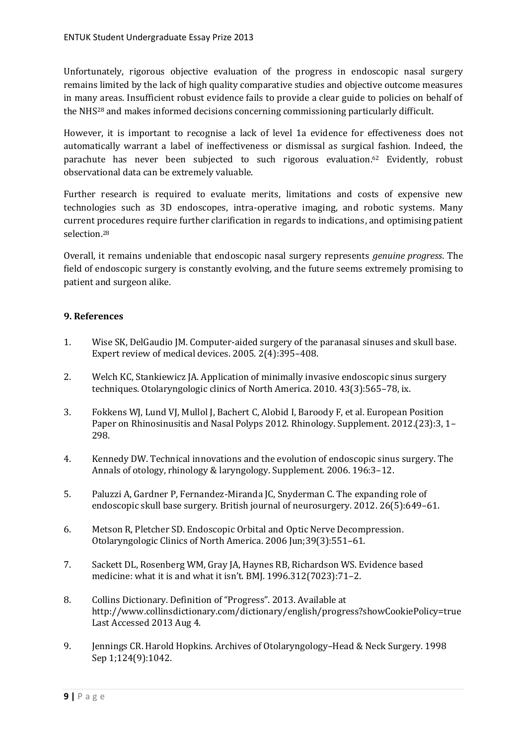Unfortunately, rigorous objective evaluation of the progress in endoscopic nasal surgery remains limited by the lack of high quality comparative studies and objective outcome measures in many areas. Insufficient robust evidence fails to provide a clear guide to policies on behalf of the NHS<sup>28</sup> and makes informed decisions concerning commissioning particularly difficult.

However, it is important to recognise a lack of level 1a evidence for effectiveness does not automatically warrant a label of ineffectiveness or dismissal as surgical fashion. Indeed, the parachute has never been subjected to such rigorous evaluation.<sup>62</sup> Evidently, robust observational data can be extremely valuable.

Further research is required to evaluate merits, limitations and costs of expensive new technologies such as 3D endoscopes, intra-operative imaging, and robotic systems. Many current procedures require further clarification in regards to indications, and optimising patient selection.<sup>28</sup>

Overall, it remains undeniable that endoscopic nasal surgery represents *genuine progress*. The field of endoscopic surgery is constantly evolving, and the future seems extremely promising to patient and surgeon alike.

#### <span id="page-10-0"></span>**9. References**

- 1. Wise SK, DelGaudio JM. Computer-aided surgery of the paranasal sinuses and skull base. Expert review of medical devices. 2005. 2(4):395–408.
- 2. Welch KC, Stankiewicz JA. Application of minimally invasive endoscopic sinus surgery techniques. Otolaryngologic clinics of North America. 2010. 43(3):565–78, ix.
- 3. Fokkens WJ, Lund VJ, Mullol J, Bachert C, Alobid I, Baroody F, et al. European Position Paper on Rhinosinusitis and Nasal Polyps 2012. Rhinology. Supplement. 2012.(23):3, 1– 298.
- 4. Kennedy DW. Technical innovations and the evolution of endoscopic sinus surgery. The Annals of otology, rhinology & laryngology. Supplement. 2006. 196:3–12.
- 5. Paluzzi A, Gardner P, Fernandez-Miranda JC, Snyderman C. The expanding role of endoscopic skull base surgery. British journal of neurosurgery. 2012. 26(5):649–61.
- 6. Metson R, Pletcher SD. Endoscopic Orbital and Optic Nerve Decompression. Otolaryngologic Clinics of North America. 2006 Jun;39(3):551–61.
- 7. Sackett DL, Rosenberg WM, Gray JA, Haynes RB, Richardson WS. Evidence based medicine: what it is and what it isn't. BMJ. 1996.312(7023):71–2.
- 8. Collins Dictionary. Definition of "Progress". 2013. Available at http://www.collinsdictionary.com/dictionary/english/progress?showCookiePolicy=true Last Accessed 2013 Aug 4.
- 9. Jennings CR. Harold Hopkins. Archives of Otolaryngology–Head & Neck Surgery. 1998 Sep 1;124(9):1042.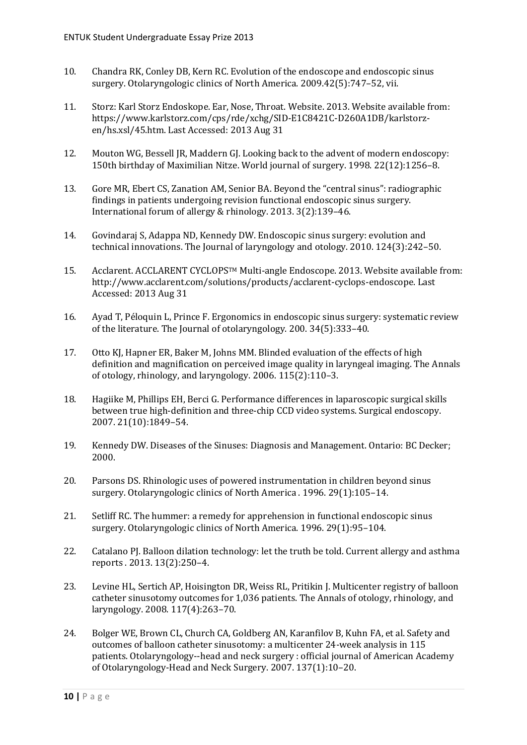- 10. Chandra RK, Conley DB, Kern RC. Evolution of the endoscope and endoscopic sinus surgery. Otolaryngologic clinics of North America. 2009.42(5):747–52, vii.
- 11. Storz: Karl Storz Endoskope. Ear, Nose, Throat. Website. 2013. Website available from: https://www.karlstorz.com/cps/rde/xchg/SID-E1C8421C-D260A1DB/karlstorzen/hs.xsl/45.htm. Last Accessed: 2013 Aug 31
- 12. Mouton WG, Bessell JR, Maddern GJ. Looking back to the advent of modern endoscopy: 150th birthday of Maximilian Nitze. World journal of surgery. 1998. 22(12):1256–8.
- 13. Gore MR, Ebert CS, Zanation AM, Senior BA. Beyond the "central sinus": radiographic findings in patients undergoing revision functional endoscopic sinus surgery. International forum of allergy & rhinology. 2013. 3(2):139–46.
- 14. Govindaraj S, Adappa ND, Kennedy DW. Endoscopic sinus surgery: evolution and technical innovations. The Journal of laryngology and otology. 2010. 124(3):242–50.
- 15. Acclarent. ACCLARENT CYCLOPSTM Multi-angle Endoscope. 2013. Website available from: http://www.acclarent.com/solutions/products/acclarent-cyclops-endoscope. Last Accessed: 2013 Aug 31
- 16. Ayad T, Péloquin L, Prince F. Ergonomics in endoscopic sinus surgery: systematic review of the literature. The Journal of otolaryngology. 200. 34(5):333–40.
- 17. Otto KJ, Hapner ER, Baker M, Johns MM. Blinded evaluation of the effects of high definition and magnification on perceived image quality in laryngeal imaging. The Annals of otology, rhinology, and laryngology. 2006. 115(2):110–3.
- 18. Hagiike M, Phillips EH, Berci G. Performance differences in laparoscopic surgical skills between true high-definition and three-chip CCD video systems. Surgical endoscopy. 2007. 21(10):1849–54.
- 19. Kennedy DW. Diseases of the Sinuses: Diagnosis and Management. Ontario: BC Decker; 2000.
- 20. Parsons DS. Rhinologic uses of powered instrumentation in children beyond sinus surgery. Otolaryngologic clinics of North America . 1996. 29(1):105–14.
- 21. Setliff RC. The hummer: a remedy for apprehension in functional endoscopic sinus surgery. Otolaryngologic clinics of North America. 1996. 29(1):95–104.
- 22. Catalano PJ. Balloon dilation technology: let the truth be told. Current allergy and asthma reports . 2013. 13(2):250–4.
- 23. Levine HL, Sertich AP, Hoisington DR, Weiss RL, Pritikin J. Multicenter registry of balloon catheter sinusotomy outcomes for 1,036 patients. The Annals of otology, rhinology, and laryngology. 2008. 117(4):263–70.
- 24. Bolger WE, Brown CL, Church CA, Goldberg AN, Karanfilov B, Kuhn FA, et al. Safety and outcomes of balloon catheter sinusotomy: a multicenter 24-week analysis in 115 patients. Otolaryngology--head and neck surgery : official journal of American Academy of Otolaryngology-Head and Neck Surgery. 2007. 137(1):10–20.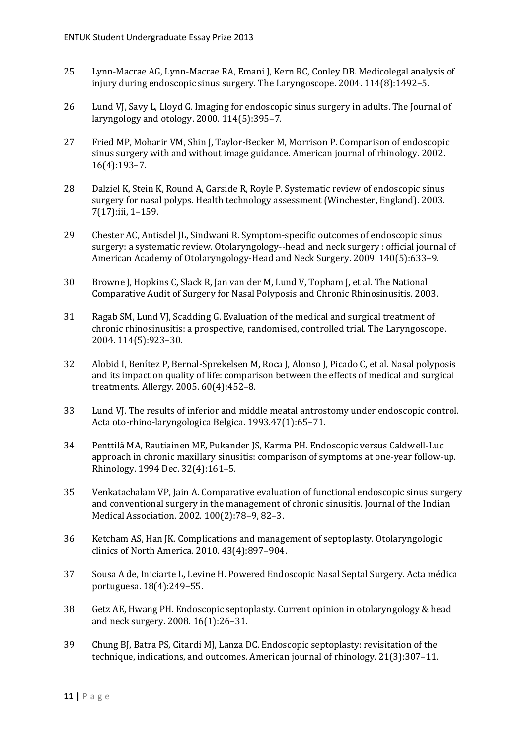- 25. Lynn-Macrae AG, Lynn-Macrae RA, Emani J, Kern RC, Conley DB. Medicolegal analysis of injury during endoscopic sinus surgery. The Laryngoscope. 2004. 114(8):1492–5.
- 26. Lund VJ, Savy L, Lloyd G. Imaging for endoscopic sinus surgery in adults. The Journal of laryngology and otology. 2000. 114(5):395–7.
- 27. Fried MP, Moharir VM, Shin J, Taylor-Becker M, Morrison P. Comparison of endoscopic sinus surgery with and without image guidance. American journal of rhinology. 2002. 16(4):193–7.
- 28. Dalziel K, Stein K, Round A, Garside R, Royle P. Systematic review of endoscopic sinus surgery for nasal polyps. Health technology assessment (Winchester, England). 2003. 7(17):iii, 1–159.
- 29. Chester AC, Antisdel JL, Sindwani R. Symptom-specific outcomes of endoscopic sinus surgery: a systematic review. Otolaryngology--head and neck surgery : official journal of American Academy of Otolaryngology-Head and Neck Surgery. 2009. 140(5):633–9.
- 30. Browne J, Hopkins C, Slack R, Jan van der M, Lund V, Topham J, et al. The National Comparative Audit of Surgery for Nasal Polyposis and Chronic Rhinosinusitis. 2003.
- 31. Ragab SM, Lund VJ, Scadding G. Evaluation of the medical and surgical treatment of chronic rhinosinusitis: a prospective, randomised, controlled trial. The Laryngoscope. 2004. 114(5):923–30.
- 32. Alobid I, Benítez P, Bernal-Sprekelsen M, Roca J, Alonso J, Picado C, et al. Nasal polyposis and its impact on quality of life: comparison between the effects of medical and surgical treatments. Allergy. 2005. 60(4):452–8.
- 33. Lund VJ. The results of inferior and middle meatal antrostomy under endoscopic control. Acta oto-rhino-laryngologica Belgica. 1993.47(1):65–71.
- 34. Penttilä MA, Rautiainen ME, Pukander JS, Karma PH. Endoscopic versus Caldwell-Luc approach in chronic maxillary sinusitis: comparison of symptoms at one-year follow-up. Rhinology. 1994 Dec. 32(4):161–5.
- 35. Venkatachalam VP, Jain A. Comparative evaluation of functional endoscopic sinus surgery and conventional surgery in the management of chronic sinusitis. Journal of the Indian Medical Association. 2002. 100(2):78–9, 82–3.
- 36. Ketcham AS, Han JK. Complications and management of septoplasty. Otolaryngologic clinics of North America. 2010. 43(4):897–904.
- 37. Sousa A de, Iniciarte L, Levine H. Powered Endoscopic Nasal Septal Surgery. Acta médica portuguesa. 18(4):249–55.
- 38. Getz AE, Hwang PH. Endoscopic septoplasty. Current opinion in otolaryngology & head and neck surgery. 2008. 16(1):26–31.
- 39. Chung BJ, Batra PS, Citardi MJ, Lanza DC. Endoscopic septoplasty: revisitation of the technique, indications, and outcomes. American journal of rhinology. 21(3):307–11.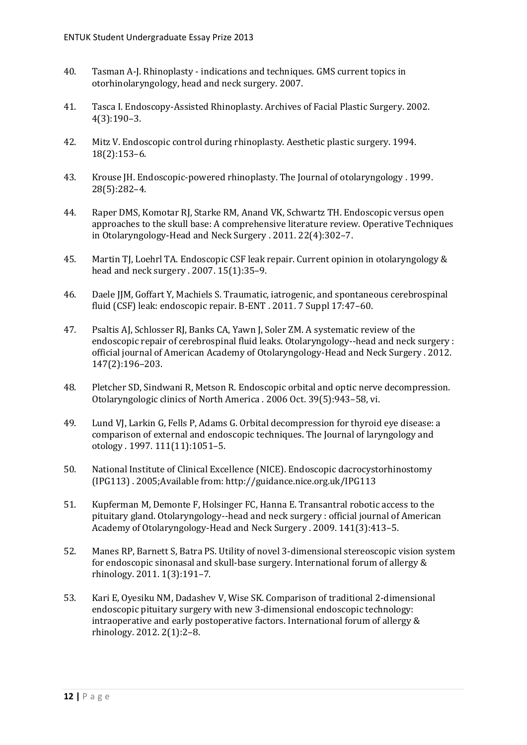- 40. Tasman A-J. Rhinoplasty indications and techniques. GMS current topics in otorhinolaryngology, head and neck surgery. 2007.
- 41. Tasca I. Endoscopy-Assisted Rhinoplasty. Archives of Facial Plastic Surgery. 2002. 4(3):190–3.
- 42. Mitz V. Endoscopic control during rhinoplasty. Aesthetic plastic surgery. 1994. 18(2):153–6.
- 43. Krouse JH. Endoscopic-powered rhinoplasty. The Journal of otolaryngology . 1999. 28(5):282–4.
- 44. Raper DMS, Komotar RJ, Starke RM, Anand VK, Schwartz TH. Endoscopic versus open approaches to the skull base: A comprehensive literature review. Operative Techniques in Otolaryngology-Head and Neck Surgery . 2011. 22(4):302–7.
- 45. Martin TJ, Loehrl TA. Endoscopic CSF leak repair. Current opinion in otolaryngology & head and neck surgery . 2007. 15(1):35–9.
- 46. Daele JJM, Goffart Y, Machiels S. Traumatic, iatrogenic, and spontaneous cerebrospinal fluid (CSF) leak: endoscopic repair. B-ENT . 2011. 7 Suppl 17:47–60.
- 47. Psaltis AJ, Schlosser RJ, Banks CA, Yawn J, Soler ZM. A systematic review of the endoscopic repair of cerebrospinal fluid leaks. Otolaryngology--head and neck surgery : official journal of American Academy of Otolaryngology-Head and Neck Surgery . 2012. 147(2):196–203.
- 48. Pletcher SD, Sindwani R, Metson R. Endoscopic orbital and optic nerve decompression. Otolaryngologic clinics of North America . 2006 Oct. 39(5):943–58, vi.
- 49. Lund VJ, Larkin G, Fells P, Adams G. Orbital decompression for thyroid eye disease: a comparison of external and endoscopic techniques. The Journal of laryngology and otology . 1997. 111(11):1051–5.
- 50. National Institute of Clinical Excellence (NICE). Endoscopic dacrocystorhinostomy (IPG113) . 2005;Available from: http://guidance.nice.org.uk/IPG113
- 51. Kupferman M, Demonte F, Holsinger FC, Hanna E. Transantral robotic access to the pituitary gland. Otolaryngology--head and neck surgery : official journal of American Academy of Otolaryngology-Head and Neck Surgery . 2009. 141(3):413–5.
- 52. Manes RP, Barnett S, Batra PS. Utility of novel 3-dimensional stereoscopic vision system for endoscopic sinonasal and skull-base surgery. International forum of allergy & rhinology. 2011. 1(3):191–7.
- 53. Kari E, Oyesiku NM, Dadashev V, Wise SK. Comparison of traditional 2-dimensional endoscopic pituitary surgery with new 3-dimensional endoscopic technology: intraoperative and early postoperative factors. International forum of allergy & rhinology. 2012. 2(1):2–8.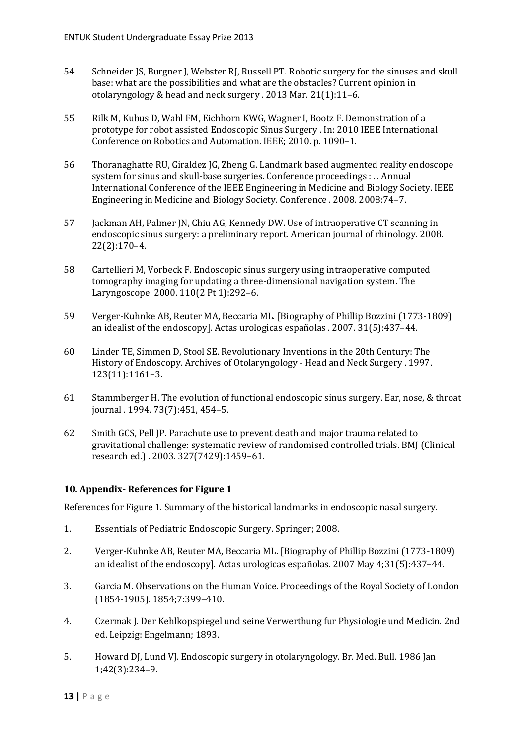- 54. Schneider JS, Burgner J, Webster RJ, Russell PT. Robotic surgery for the sinuses and skull base: what are the possibilities and what are the obstacles? Current opinion in otolaryngology & head and neck surgery . 2013 Mar. 21(1):11–6.
- 55. Rilk M, Kubus D, Wahl FM, Eichhorn KWG, Wagner I, Bootz F. Demonstration of a prototype for robot assisted Endoscopic Sinus Surgery . In: 2010 IEEE International Conference on Robotics and Automation. IEEE; 2010. p. 1090–1.
- 56. Thoranaghatte RU, Giraldez JG, Zheng G. Landmark based augmented reality endoscope system for sinus and skull-base surgeries. Conference proceedings : ... Annual International Conference of the IEEE Engineering in Medicine and Biology Society. IEEE Engineering in Medicine and Biology Society. Conference . 2008. 2008:74–7.
- 57. Jackman AH, Palmer JN, Chiu AG, Kennedy DW. Use of intraoperative CT scanning in endoscopic sinus surgery: a preliminary report. American journal of rhinology. 2008. 22(2):170–4.
- 58. Cartellieri M, Vorbeck F. Endoscopic sinus surgery using intraoperative computed tomography imaging for updating a three-dimensional navigation system. The Laryngoscope. 2000. 110(2 Pt 1):292–6.
- 59. Verger-Kuhnke AB, Reuter MA, Beccaria ML. [Biography of Phillip Bozzini (1773-1809) an idealist of the endoscopy]. Actas urologicas españolas . 2007. 31(5):437–44.
- 60. Linder TE, Simmen D, Stool SE. Revolutionary Inventions in the 20th Century: The History of Endoscopy. Archives of Otolaryngology - Head and Neck Surgery . 1997. 123(11):1161–3.
- 61. Stammberger H. The evolution of functional endoscopic sinus surgery. Ear, nose, & throat journal . 1994. 73(7):451, 454–5.
- 62. Smith GCS, Pell JP. Parachute use to prevent death and major trauma related to gravitational challenge: systematic review of randomised controlled trials. BMJ (Clinical research ed.) . 2003. 327(7429):1459–61.

#### <span id="page-14-0"></span>**10. Appendix- References for Figure 1**

References for Figure 1. Summary of the historical landmarks in endoscopic nasal surgery.

- 1. Essentials of Pediatric Endoscopic Surgery. Springer; 2008.
- 2. Verger-Kuhnke AB, Reuter MA, Beccaria ML. [Biography of Phillip Bozzini (1773-1809) an idealist of the endoscopy]. Actas urologicas españolas. 2007 May 4;31(5):437–44.
- 3. Garcia M. Observations on the Human Voice. Proceedings of the Royal Society of London (1854-1905). 1854;7:399–410.
- 4. Czermak J. Der Kehlkopspiegel und seine Verwerthung fur Physiologie und Medicin. 2nd ed. Leipzig: Engelmann; 1893.
- 5. Howard DJ, Lund VJ. Endoscopic surgery in otolaryngology. Br. Med. Bull. 1986 Jan 1;42(3):234–9.